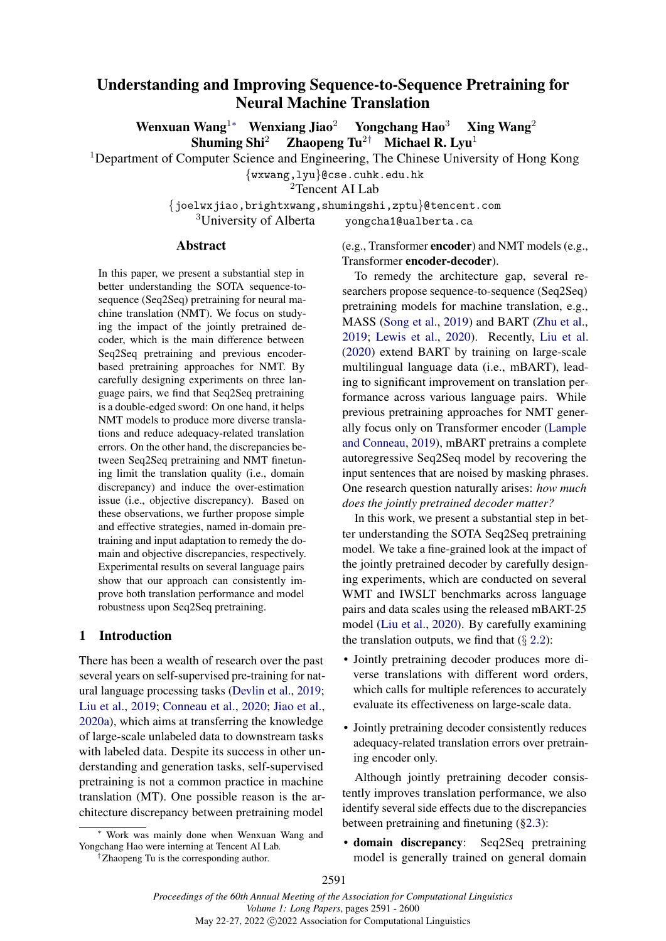# <span id="page-0-1"></span><span id="page-0-0"></span>Understanding and Improving Sequence-to-Sequence Pretraining for Neural Machine Translation

Wenxuan Wang<sup>[1](#page-0-0)</sup> Wenxiang Jiao<sup>2</sup> Yongchang Hao<sup>3</sup> Xing Wang<sup>2</sup> Shuming Shi<sup>2</sup> Zhaopeng Tu<sup>2</sup>*[†](#page-0-0)* Michael R. Lyu<sup>1</sup>

<sup>1</sup>Department of Computer Science and Engineering, The Chinese University of Hong Kong

*{*wxwang,lyu*}*@cse.cuhk.edu.hk

<span id="page-0-3"></span><sup>2</sup>Tencent AI Lab

*{*joelwxjiao,brightxwang,shumingshi,zptu*}*@tencent.com yongcha1@ualberta.ca

#### Abstract

In this paper, we present a substantial step in better understanding the SOTA sequence-tosequence (Seq2Seq) pretraining for neural machine translation (NMT). We focus on studying the impact of the jointly pretrained decoder, which is the main difference between Seq2Seq pretraining and previous encoderbased pretraining approaches for NMT. By carefully designing experiments on three language pairs, we find that Seq2Seq pretraining is a double-edged sword: On one hand, it helps NMT models to produce more diverse translations and reduce adequacy-related translation errors. On the other hand, the discrepancies between Seq2Seq pretraining and NMT finetuning limit the translation quality (i.e., domain discrepancy) and induce the over-estimation issue (i.e., objective discrepancy). Based on these observations, we further propose simple and effective strategies, named in-domain pretraining and input adaptation to remedy the domain and objective discrepancies, respectively. Experimental results on several language pairs show that our approach can consistently improve both translation performance and model robustness upon Seq2Seq pretraining.

# <span id="page-0-2"></span>1 Introduction

There has been a wealth of research over the past several years on self-supervised pre-training for natural language processing tasks [\(Devlin et al.,](#page-8-0) [2019;](#page-8-0) [Liu et al.,](#page-8-1) [2019;](#page-8-1) [Conneau et al.,](#page-8-2) [2020;](#page-8-2) [Jiao et al.,](#page-8-3) [2020a\)](#page-8-3), which aims at transferring the knowledge of large-scale unlabeled data to downstream tasks with labeled data. Despite its success in other understanding and generation tasks, self-supervised pretraining is not a common practice in machine translation (MT). One possible reason is the architecture discrepancy between pretraining model

*†*Zhaopeng Tu is the corresponding author.

(e.g., Transformer encoder) and NMT models (e.g., Transformer encoder-decoder).

To remedy the architecture gap, several researchers propose sequence-to-sequence (Seq2Seq) pretraining models for machine translation, e.g., MASS [\(Song et al.,](#page-8-4) [2019\)](#page-8-4) and BART [\(Zhu et al.,](#page-9-0) [2019;](#page-9-0) [Lewis et al.,](#page-8-5) [2020\)](#page-8-5). Recently, [Liu et al.](#page-8-6) [\(2020\)](#page-8-6) extend BART by training on large-scale multilingual language data (i.e., mBART), leading to significant improvement on translation performance across various language pairs. While previous pretraining approaches for NMT generally focus only on Transformer encoder [\(Lample](#page-8-7) [and Conneau,](#page-8-7) [2019\)](#page-8-7), mBART pretrains a complete autoregressive Seq2Seq model by recovering the input sentences that are noised by masking phrases. One research question naturally arises: *how much does the jointly pretrained decoder matter?*

In this work, we present a substantial step in better understanding the SOTA Seq2Seq pretraining model. We take a fine-grained look at the impact of the jointly pretrained decoder by carefully designing experiments, which are conducted on several WMT and IWSLT benchmarks across language pairs and data scales using the released mBART-25 model [\(Liu et al.,](#page-8-6) [2020\)](#page-8-6). By carefully examining the translation outputs, we find that  $(\S 2.2)$  $(\S 2.2)$  $(\S 2.2)$ :

- Jointly pretraining decoder produces more diverse translations with different word orders, which calls for multiple references to accurately evaluate its effectiveness on large-scale data.
- Jointly pretraining decoder consistently reduces adequacy-related translation errors over pretraining encoder only.

Although jointly pretraining decoder consistently improves translation performance, we also identify several side effects due to the discrepancies between pretraining and finetuning ([§2.3\)](#page-3-0):

• domain discrepancy: Seq2Seq pretraining model is generally trained on general domain

Work was mainly done when Wenxuan Wang and Yongchang Hao were interning at Tencent AI Lab.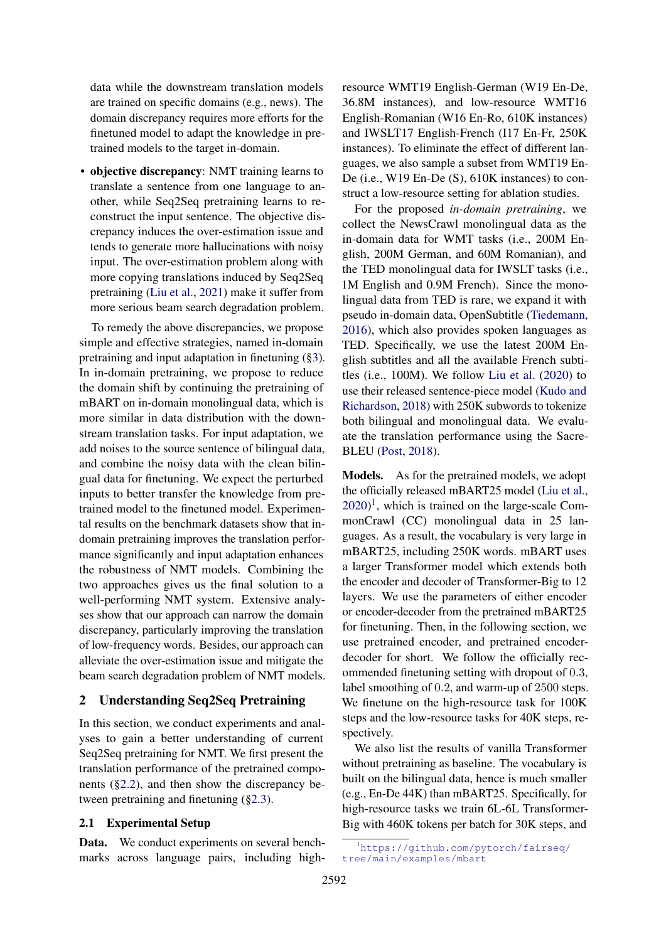data while the downstream translation models are trained on specific domains (e.g., news). The domain discrepancy requires more efforts for the finetuned model to adapt the knowledge in pretrained models to the target in-domain.

• objective discrepancy: NMT training learns to translate a sentence from one language to another, while Seq2Seq pretraining learns to reconstruct the input sentence. The objective discrepancy induces the over-estimation issue and tends to generate more hallucinations with noisy input. The over-estimation problem along with more copying translations induced by Seq2Seq pretraining [\(Liu et al.,](#page-8-8) [2021\)](#page-8-8) make it suffer from more serious beam search degradation problem.

To remedy the above discrepancies, we propose simple and effective strategies, named in-domain pretraining and input adaptation in finetuning ([§3\)](#page-5-0). In in-domain pretraining, we propose to reduce the domain shift by continuing the pretraining of mBART on in-domain monolingual data, which is more similar in data distribution with the downstream translation tasks. For input adaptation, we add noises to the source sentence of bilingual data, and combine the noisy data with the clean bilingual data for finetuning. We expect the perturbed inputs to better transfer the knowledge from pretrained model to the finetuned model. Experimental results on the benchmark datasets show that indomain pretraining improves the translation performance significantly and input adaptation enhances the robustness of NMT models. Combining the two approaches gives us the final solution to a well-performing NMT system. Extensive analyses show that our approach can narrow the domain discrepancy, particularly improving the translation of low-frequency words. Besides, our approach can alleviate the over-estimation issue and mitigate the beam search degradation problem of NMT models.

#### 2 Understanding Seq2Seq Pretraining

In this section, we conduct experiments and analyses to gain a better understanding of current Seq2Seq pretraining for NMT. We first present the translation performance of the pretrained components ([§2.2\)](#page-2-0), and then show the discrepancy between pretraining and finetuning ([§2.3\)](#page-3-0).

#### 2.1 Experimental Setup

Data. We conduct experiments on several benchmarks across language pairs, including highresource WMT19 English-German (W19 En-De, 36.8M instances), and low-resource WMT16 English-Romanian (W16 En-Ro, 610K instances) and IWSLT17 English-French (I17 En-Fr, 250K instances). To eliminate the effect of different languages, we also sample a subset from WMT19 En-De (i.e., W19 En-De (S), 610K instances) to construct a low-resource setting for ablation studies.

For the proposed *in-domain pretraining*, we collect the NewsCrawl monolingual data as the in-domain data for WMT tasks (i.e., 200M English, 200M German, and 60M Romanian), and the TED monolingual data for IWSLT tasks (i.e., 1M English and 0.9M French). Since the monolingual data from TED is rare, we expand it with pseudo in-domain data, OpenSubtitle [\(Tiedemann,](#page-9-1) [2016\)](#page-9-1), which also provides spoken languages as TED. Specifically, we use the latest 200M English subtitles and all the available French subtitles (i.e., 100M). We follow [Liu et al.](#page-8-6) [\(2020\)](#page-8-6) to use their released sentence-piece model [\(Kudo and](#page-8-9) [Richardson,](#page-8-9) [2018\)](#page-8-9) with 250K subwords to tokenize both bilingual and monolingual data. We evaluate the translation performance using the Sacre-BLEU [\(Post,](#page-8-10) [2018\)](#page-8-10).

Models. As for the pretrained models, we adopt the officially released mBART25 model [\(Liu et al.,](#page-8-6)  $2020$ <sup>1</sup>, which is trained on the large-scale CommonCrawl (CC) monolingual data in 25 languages. As a result, the vocabulary is very large in mBART25, including 250K words. mBART uses a larger Transformer model which extends both the encoder and decoder of Transformer-Big to 12 layers. We use the parameters of either encoder or encoder-decoder from the pretrained mBART25 for finetuning. Then, in the following section, we use pretrained encoder, and pretrained encoderdecoder for short. We follow the officially recommended finetuning setting with dropout of 0*.*3, label smoothing of 0*.*2, and warm-up of 2500 steps. We finetune on the high-resource task for 100K steps and the low-resource tasks for 40K steps, respectively.

We also list the results of vanilla Transformer without pretraining as baseline. The vocabulary is built on the bilingual data, hence is much smaller (e.g., En-De 44K) than mBART25. Specifically, for high-resource tasks we train 6L-6L Transformer-Big with 460K tokens per batch for 30K steps, and

<span id="page-1-0"></span><sup>1</sup> [https://github.com/pytorch/fairseq/](https://github.com/pytorch/fairseq/tree/main/examples/mbart) [tree/main/examples/mbart](https://github.com/pytorch/fairseq/tree/main/examples/mbart)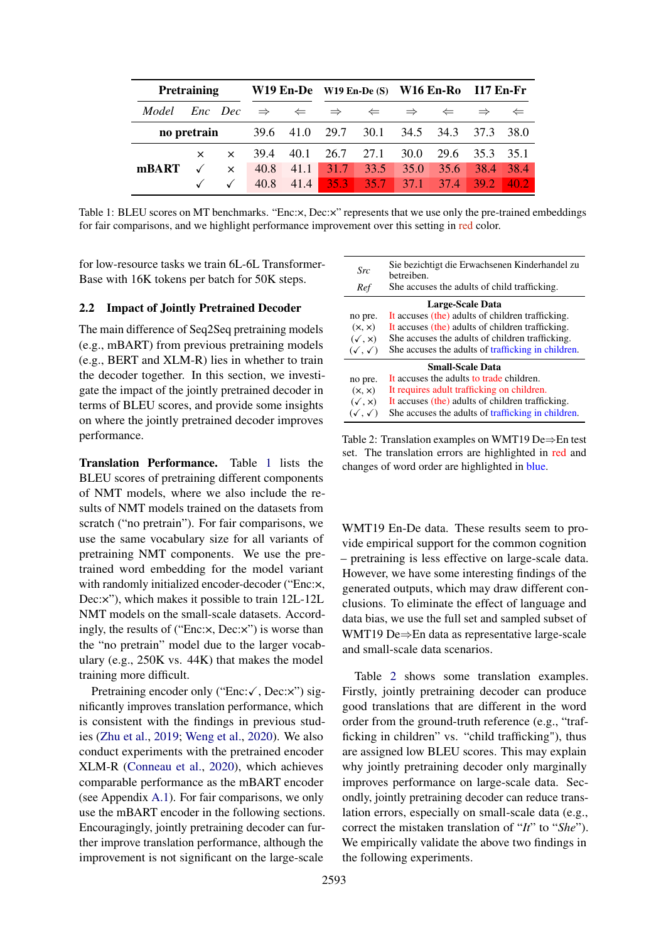<span id="page-2-1"></span>

| Pretraining |  |          |                    |      | W19 En-De W19 En-De $(S)$ W16 En-Ro I17 En-Fr           |                                        |               |                             |               |              |
|-------------|--|----------|--------------------|------|---------------------------------------------------------|----------------------------------------|---------------|-----------------------------|---------------|--------------|
| Model       |  |          |                    |      | <i>Enc</i> Dec $\Rightarrow$ $\Leftarrow$ $\Rightarrow$ | $\Leftarrow$                           | $\Rightarrow$ | $\Leftarrow$                | $\Rightarrow$ | $\Leftarrow$ |
|             |  |          |                    |      |                                                         | <b>no pretrain</b> 39.6 41.0 29.7 30.1 | 34.5 34.3     |                             | 37.3          | 38.0         |
|             |  |          | $\times$ 39.4 40.1 |      |                                                         | 26.7 27.1                              | 30.0          | 29.6                        | 35.3          | 35.1         |
| mBART       |  | $\times$ | 40.8               | 41.1 |                                                         | $31.7$ 33.5                            | 35.0          | 35.6                        | 38.4 38.4     |              |
|             |  |          | $40.8$ 41.4        |      |                                                         | $35.3$ 35.7                            |               | $37.1$ $37.4$ $39.2$ $40.2$ |               |              |

Table 1: BLEU scores on MT benchmarks. "Enc:x, Dec:x" represents that we use only the pre-trained embeddings for fair comparisons, and we highlight performance improvement over this setting in red color.

for low-resource tasks we train 6L-6L Transformer-Base with 16K tokens per batch for 50K steps.

#### <span id="page-2-0"></span>2.2 Impact of Jointly Pretrained Decoder

The main difference of Seq2Seq pretraining models (e.g., mBART) from previous pretraining models (e.g., BERT and XLM-R) lies in whether to train the decoder together. In this section, we investigate the impact of the jointly pretrained decoder in terms of BLEU scores, and provide some insights on where the jointly pretrained decoder improves performance.

Translation Performance. Table [1](#page-2-1) lists the BLEU scores of pretraining different components of NMT models, where we also include the results of NMT models trained on the datasets from scratch ("no pretrain"). For fair comparisons, we use the same vocabulary size for all variants of pretraining NMT components. We use the pretrained word embedding for the model variant with randomly initialized encoder-decoder ("Enc:x, Dec:×"), which makes it possible to train 12L-12L NMT models on the small-scale datasets. Accordingly, the results of ("Enc:×, Dec:×") is worse than the "no pretrain" model due to the larger vocabulary (e.g., 250K vs. 44K) that makes the model training more difficult.

Pretraining encoder only ("Enc: $\checkmark$ , Dec: $\checkmark$ ") significantly improves translation performance, which is consistent with the findings in previous studies [\(Zhu et al.,](#page-9-0) [2019;](#page-9-0) [Weng et al.,](#page-9-2) [2020\)](#page-9-2). We also conduct experiments with the pretrained encoder XLM-R [\(Conneau et al.,](#page-8-2) [2020\)](#page-8-2), which achieves comparable performance as the mBART encoder (see Appendix [A.1\)](#page-0-1). For fair comparisons, we only use the mBART encoder in the following sections. Encouragingly, jointly pretraining decoder can further improve translation performance, although the improvement is not significant on the large-scale

<span id="page-2-2"></span>

| Src                     | Sie bezichtigt die Erwachsenen Kinderhandel zu<br>betreiben. |  |  |  |  |  |
|-------------------------|--------------------------------------------------------------|--|--|--|--|--|
| Ref                     | She accuses the adults of child trafficking.                 |  |  |  |  |  |
|                         | Large-Scale Data                                             |  |  |  |  |  |
| no pre.                 | It accuses (the) adults of children trafficking.             |  |  |  |  |  |
| (x, x)                  | It accuses (the) adults of children trafficking.             |  |  |  |  |  |
| $(\sqrt{, x})$          | She accuses the adults of children trafficking.              |  |  |  |  |  |
| $(\sqrt{}, \sqrt{})$    | She accuses the adults of trafficking in children.           |  |  |  |  |  |
| <b>Small-Scale Data</b> |                                                              |  |  |  |  |  |
| no pre.                 | It accuses the adults to trade children.                     |  |  |  |  |  |
| (x, x)                  | It requires adult trafficking on children.                   |  |  |  |  |  |
| $(\sqrt{, x})$          | It accuses (the) adults of children trafficking.             |  |  |  |  |  |
| $(\sqrt{}, \sqrt{})$    | She accuses the adults of trafficking in children.           |  |  |  |  |  |

Table 2: Translation examples on WMT19 De $\Rightarrow$ En test set. The translation errors are highlighted in red and changes of word order are highlighted in blue.

WMT19 En-De data. These results seem to provide empirical support for the common cognition – pretraining is less effective on large-scale data. However, we have some interesting findings of the generated outputs, which may draw different conclusions. To eliminate the effect of language and data bias, we use the full set and sampled subset of WMT19 De $\Rightarrow$ En data as representative large-scale and small-scale data scenarios.

Table [2](#page-2-2) shows some translation examples. Firstly, jointly pretraining decoder can produce good translations that are different in the word order from the ground-truth reference (e.g., "trafficking in children" vs. "child trafficking"), thus are assigned low BLEU scores. This may explain why jointly pretraining decoder only marginally improves performance on large-scale data. Secondly, jointly pretraining decoder can reduce translation errors, especially on small-scale data (e.g., correct the mistaken translation of "*It*" to "*She*"). We empirically validate the above two findings in the following experiments.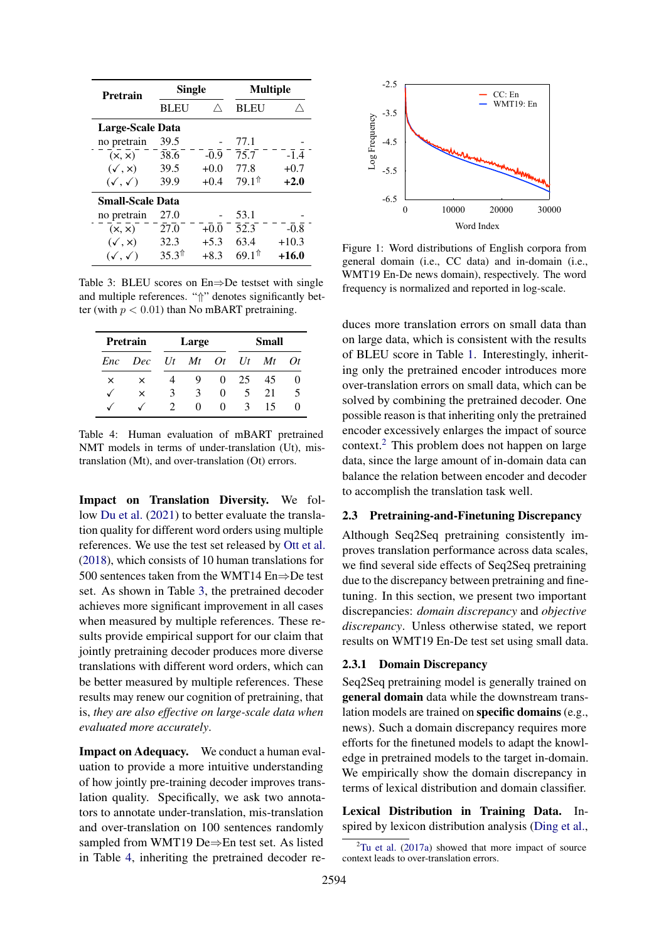<span id="page-3-1"></span>

| Pretrain                | <b>Single</b>        |        | <b>Multiple</b>          |         |  |  |  |  |
|-------------------------|----------------------|--------|--------------------------|---------|--|--|--|--|
|                         | Λ<br><b>BLEU</b>     |        | <b>BLEU</b>              |         |  |  |  |  |
| <b>Large-Scale Data</b> |                      |        |                          |         |  |  |  |  |
| no pretrain             | 39.5                 |        | 77.1                     |         |  |  |  |  |
| (x, x)                  | 38.6                 | $-0.9$ | 75.7                     | $-1.4$  |  |  |  |  |
| $(\checkmark, x)$       | 39.5                 | $+0.0$ | 77.8                     | $+0.7$  |  |  |  |  |
| $(\sqrt{}, \sqrt{})$    | 39.9                 | $+0.4$ | $79.1^{\text{\text{m}}}$ | $+2.0$  |  |  |  |  |
| <b>Small-Scale Data</b> |                      |        |                          |         |  |  |  |  |
| no pretrain             | 27.0                 |        | 53.1                     |         |  |  |  |  |
| (x, x)                  | 27.0                 | $+0.0$ | 52.3                     | $-0.8$  |  |  |  |  |
| $(\checkmark, \times)$  | 32.3                 | $+5.3$ | 63.4                     | $+10.3$ |  |  |  |  |
| $(\sqrt{}, \sqrt{})$    | $35.3$ <sup>th</sup> | $+8.3$ | 69.1↑                    | $+16.0$ |  |  |  |  |

Table 3: BLEU scores on  $En \Rightarrow De$  testset with single and multiple references. " $\uparrow$ " denotes significantly better (with  $p < 0.01$ ) than No mBART pretraining.

<span id="page-3-2"></span>

| Pretrain |          |    | Large             |                     | Small |    |    |
|----------|----------|----|-------------------|---------------------|-------|----|----|
| Enc      | Dec      | Ut |                   | $Mt$ $Dt$ $Ut$ $Mt$ |       |    | Ot |
| ×        | ×        |    | 9                 | $\Omega$            | 25    | 45 |    |
| √        | $\times$ | 3  | 3                 | $\Omega$            | ┑     | 21 |    |
|          |          |    | $\mathbf{\Omega}$ | 0                   | 3     | 15 |    |

Table 4: Human evaluation of mBART pretrained NMT models in terms of under-translation (Ut), mistranslation (Mt), and over-translation (Ot) errors.

Impact on Translation Diversity. We follow [Du et al.](#page-8-11) [\(2021\)](#page-8-11) to better evaluate the translation quality for different word orders using multiple references. We use the test set released by [Ott et al.](#page-8-12) [\(2018\)](#page-8-12), which consists of 10 human translations for 500 sentences taken from the WMT14  $En \Rightarrow De$  test set. As shown in Table [3,](#page-3-1) the pretrained decoder achieves more significant improvement in all cases when measured by multiple references. These results provide empirical support for our claim that jointly pretraining decoder produces more diverse translations with different word orders, which can be better measured by multiple references. These results may renew our cognition of pretraining, that is, *they are also effective on large-scale data when evaluated more accurately*.

Impact on Adequacy. We conduct a human evaluation to provide a more intuitive understanding of how jointly pre-training decoder improves translation quality. Specifically, we ask two annotators to annotate under-translation, mis-translation and over-translation on 100 sentences randomly sampled from WMT19 De $\Rightarrow$ En test set. As listed in Table [4,](#page-3-2) inheriting the pretrained decoder re-

<span id="page-3-4"></span>

Figure 1: Word distributions of English corpora from general domain (i.e., CC data) and in-domain (i.e., WMT19 En-De news domain), respectively. The word frequency is normalized and reported in log-scale.

duces more translation errors on small data than on large data, which is consistent with the results of BLEU score in Table [1.](#page-2-1) Interestingly, inheriting only the pretrained encoder introduces more over-translation errors on small data, which can be solved by combining the pretrained decoder. One possible reason is that inheriting only the pretrained encoder excessively enlarges the impact of source context.[2](#page-3-3) This problem does not happen on large data, since the large amount of in-domain data can balance the relation between encoder and decoder to accomplish the translation task well.

# <span id="page-3-0"></span>2.3 Pretraining-and-Finetuning Discrepancy

Although Seq2Seq pretraining consistently improves translation performance across data scales, we find several side effects of Seq2Seq pretraining due to the discrepancy between pretraining and finetuning. In this section, we present two important discrepancies: *domain discrepancy* and *objective discrepancy*. Unless otherwise stated, we report results on WMT19 En-De test set using small data.

#### 2.3.1 Domain Discrepancy

Seq2Seq pretraining model is generally trained on general domain data while the downstream translation models are trained on specific domains (e.g., news). Such a domain discrepancy requires more efforts for the finetuned models to adapt the knowledge in pretrained models to the target in-domain. We empirically show the domain discrepancy in terms of lexical distribution and domain classifier.

Lexical Distribution in Training Data. Inspired by lexicon distribution analysis [\(Ding et al.,](#page-8-13)

<span id="page-3-3"></span> $2$ [Tu et al.](#page-9-3) [\(2017a\)](#page-9-3) showed that more impact of source context leads to over-translation errors.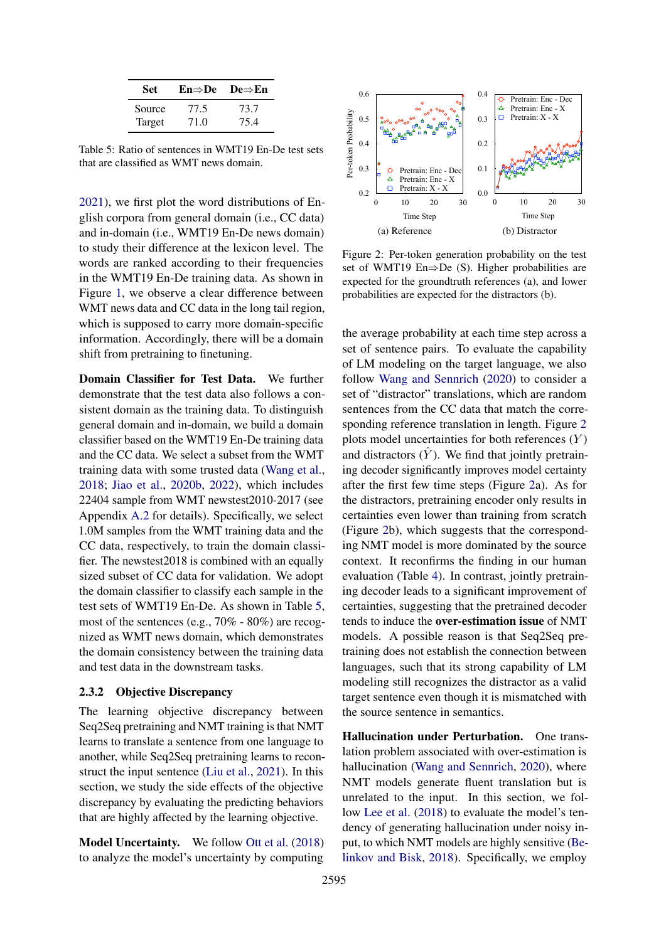<span id="page-4-0"></span>

| <b>Set</b> | En⇒De | De $\Rightarrow$ En |
|------------|-------|---------------------|
| Source     | 77.5  | 73.7                |
| Target     | 71.0  | 75.4                |

Table 5: Ratio of sentences in WMT19 En-De test sets that are classified as WMT news domain.

[2021\)](#page-8-13), we first plot the word distributions of English corpora from general domain (i.e., CC data) and in-domain (i.e., WMT19 En-De news domain) to study their difference at the lexicon level. The words are ranked according to their frequencies in the WMT19 En-De training data. As shown in Figure [1,](#page-3-4) we observe a clear difference between WMT news data and CC data in the long tail region, which is supposed to carry more domain-specific information. Accordingly, there will be a domain shift from pretraining to finetuning.

Domain Classifier for Test Data. We further demonstrate that the test data also follows a consistent domain as the training data. To distinguish general domain and in-domain, we build a domain classifier based on the WMT19 En-De training data and the CC data. We select a subset from the WMT training data with some trusted data [\(Wang et al.,](#page-9-4) [2018;](#page-9-4) [Jiao et al.,](#page-8-14) [2020b,](#page-8-14) [2022\)](#page-8-15), which includes 22404 sample from WMT newstest2010-2017 (see Appendix [A.2](#page-0-2) for details). Specifically, we select 1.0M samples from the WMT training data and the CC data, respectively, to train the domain classifier. The newstest2018 is combined with an equally sized subset of CC data for validation. We adopt the domain classifier to classify each sample in the test sets of WMT19 En-De. As shown in Table [5,](#page-4-0) most of the sentences (e.g., 70% - 80%) are recognized as WMT news domain, which demonstrates the domain consistency between the training data and test data in the downstream tasks.

# 2.3.2 Objective Discrepancy

The learning objective discrepancy between Seq2Seq pretraining and NMT training is that NMT learns to translate a sentence from one language to another, while Seq2Seq pretraining learns to reconstruct the input sentence [\(Liu et al.,](#page-8-8) [2021\)](#page-8-8). In this section, we study the side effects of the objective discrepancy by evaluating the predicting behaviors that are highly affected by the learning objective.

Model Uncertainty. We follow [Ott et al.](#page-8-12) [\(2018\)](#page-8-12) to analyze the model's uncertainty by computing

<span id="page-4-1"></span>

Figure 2: Per-token generation probability on the test set of WMT19 En $\Rightarrow$ De (S). Higher probabilities are expected for the groundtruth references (a), and lower probabilities are expected for the distractors (b).

the average probability at each time step across a set of sentence pairs. To evaluate the capability of LM modeling on the target language, we also follow [Wang and Sennrich](#page-9-5) [\(2020\)](#page-9-5) to consider a set of "distractor" translations, which are random sentences from the CC data that match the corresponding reference translation in length. Figure [2](#page-4-1) plots model uncertainties for both references (*Y* ) and distractors  $(Y)$ . We find that jointly pretraining decoder significantly improves model certainty after the first few time steps (Figure [2a](#page-4-1)). As for the distractors, pretraining encoder only results in certainties even lower than training from scratch (Figure [2b](#page-4-1)), which suggests that the corresponding NMT model is more dominated by the source context. It reconfirms the finding in our human evaluation (Table [4\)](#page-3-2). In contrast, jointly pretraining decoder leads to a significant improvement of certainties, suggesting that the pretrained decoder tends to induce the over-estimation issue of NMT models. A possible reason is that Seq2Seq pretraining does not establish the connection between languages, such that its strong capability of LM modeling still recognizes the distractor as a valid target sentence even though it is mismatched with the source sentence in semantics.

Hallucination under Perturbation. One translation problem associated with over-estimation is hallucination [\(Wang and Sennrich,](#page-9-5) [2020\)](#page-9-5), where NMT models generate fluent translation but is unrelated to the input. In this section, we follow [Lee et al.](#page-8-16) [\(2018\)](#page-8-16) to evaluate the model's tendency of generating hallucination under noisy input, to which NMT models are highly sensitive [\(Be](#page-8-17)[linkov and Bisk,](#page-8-17) [2018\)](#page-8-17). Specifically, we employ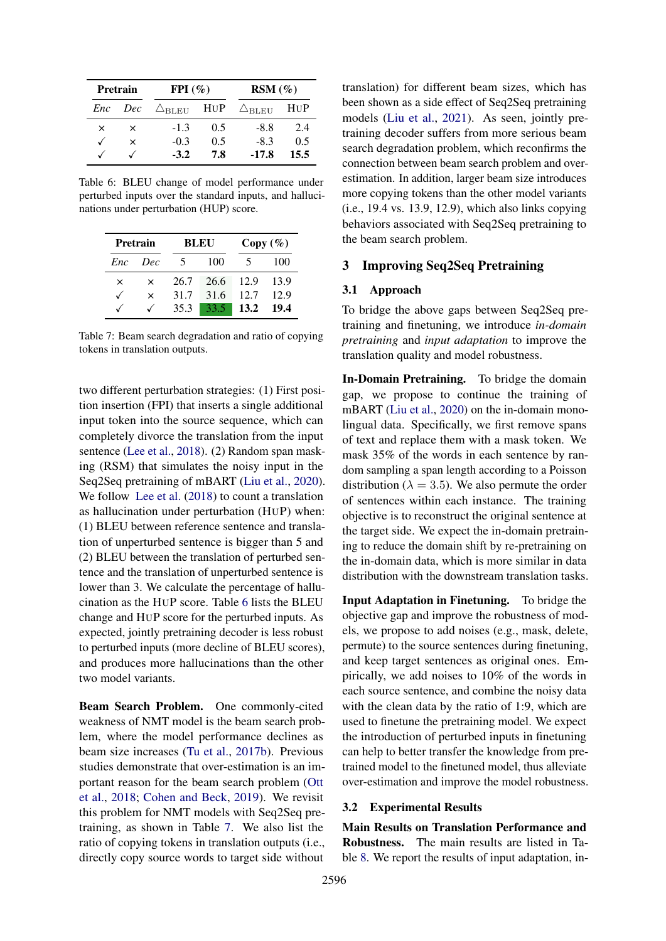<span id="page-5-1"></span>

| <b>Pretrain</b> |          | $FPI(\%)$                                    |     | $RSM(\%)$                   |      |  |
|-----------------|----------|----------------------------------------------|-----|-----------------------------|------|--|
|                 |          | <i>Enc Dec</i> $\triangle_{\text{BLEU}}$ HUP |     | $\triangle_{\mathrm{BLEU}}$ | HUP  |  |
| ×               | $\times$ | $-1.3$                                       | 0.5 | $-8.8$                      | 2.4  |  |
|                 | ×        | $-0.3$                                       | 0.5 | $-8.3$                      | 0.5  |  |
|                 |          | $-3.2$                                       | 7.8 | $-17.8$                     | 15.5 |  |

Table 6: BLEU change of model performance under perturbed inputs over the standard inputs, and hallucinations under perturbation (HUP) score.

<span id="page-5-2"></span>

| Pretrain |          |      | BLEU | Copy (%) |       |  |
|----------|----------|------|------|----------|-------|--|
| Enc      | - Dec    |      | 100  |          | 100   |  |
| ×        | $\times$ | 26.7 | 26.6 | 12.9     | 13.9  |  |
|          | $\times$ | 31.7 | 31.6 | 12.7     | 12.9  |  |
|          |          | 35.3 | 33.5 | 13.2     | -19.4 |  |

Table 7: Beam search degradation and ratio of copying tokens in translation outputs.

two different perturbation strategies: (1) First position insertion (FPI) that inserts a single additional input token into the source sequence, which can completely divorce the translation from the input sentence [\(Lee et al.,](#page-8-16) [2018\)](#page-8-16). (2) Random span masking (RSM) that simulates the noisy input in the Seq2Seq pretraining of mBART [\(Liu et al.,](#page-8-6) [2020\)](#page-8-6). We follow [Lee et al.](#page-8-16) [\(2018\)](#page-8-16) to count a translation as hallucination under perturbation (HUP) when: (1) BLEU between reference sentence and translation of unperturbed sentence is bigger than 5 and (2) BLEU between the translation of perturbed sentence and the translation of unperturbed sentence is lower than 3. We calculate the percentage of hallucination as the HUP score. Table [6](#page-5-1) lists the BLEU change and HUP score for the perturbed inputs. As expected, jointly pretraining decoder is less robust to perturbed inputs (more decline of BLEU scores), and produces more hallucinations than the other two model variants.

Beam Search Problem. One commonly-cited weakness of NMT model is the beam search problem, where the model performance declines as beam size increases [\(Tu et al.,](#page-9-6) [2017b\)](#page-9-6). Previous studies demonstrate that over-estimation is an important reason for the beam search problem [\(Ott](#page-8-12) [et al.,](#page-8-12) [2018;](#page-8-12) [Cohen and Beck,](#page-8-18) [2019\)](#page-8-18). We revisit this problem for NMT models with Seq2Seq pretraining, as shown in Table [7.](#page-5-2) We also list the ratio of copying tokens in translation outputs (i.e., directly copy source words to target side without

translation) for different beam sizes, which has been shown as a side effect of Seq2Seq pretraining models [\(Liu et al.,](#page-8-8) [2021\)](#page-8-8). As seen, jointly pretraining decoder suffers from more serious beam search degradation problem, which reconfirms the connection between beam search problem and overestimation. In addition, larger beam size introduces more copying tokens than the other model variants (i.e., 19.4 vs. 13.9, 12.9), which also links copying behaviors associated with Seq2Seq pretraining to the beam search problem.

## <span id="page-5-0"></span>3 Improving Seq2Seq Pretraining

#### 3.1 Approach

To bridge the above gaps between Seq2Seq pretraining and finetuning, we introduce *in-domain pretraining* and *input adaptation* to improve the translation quality and model robustness.

In-Domain Pretraining. To bridge the domain gap, we propose to continue the training of mBART [\(Liu et al.,](#page-8-6) [2020\)](#page-8-6) on the in-domain monolingual data. Specifically, we first remove spans of text and replace them with a mask token. We mask 35% of the words in each sentence by random sampling a span length according to a Poisson distribution ( $\lambda = 3.5$ ). We also permute the order of sentences within each instance. The training objective is to reconstruct the original sentence at the target side. We expect the in-domain pretraining to reduce the domain shift by re-pretraining on the in-domain data, which is more similar in data distribution with the downstream translation tasks.

Input Adaptation in Finetuning. To bridge the objective gap and improve the robustness of models, we propose to add noises (e.g., mask, delete, permute) to the source sentences during finetuning, and keep target sentences as original ones. Empirically, we add noises to 10% of the words in each source sentence, and combine the noisy data with the clean data by the ratio of 1:9, which are used to finetune the pretraining model. We expect the introduction of perturbed inputs in finetuning can help to better transfer the knowledge from pretrained model to the finetuned model, thus alleviate over-estimation and improve the model robustness.

#### 3.2 Experimental Results

Main Results on Translation Performance and Robustness. The main results are listed in Table [8.](#page-6-0) We report the results of input adaptation, in-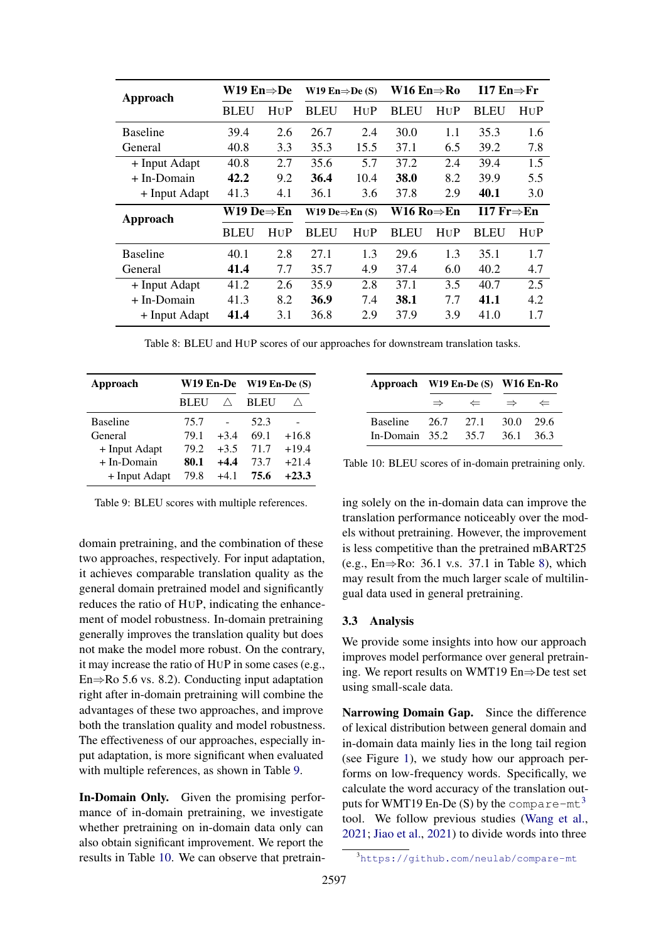<span id="page-6-0"></span>

| Approach        | W19 En $\Rightarrow$ De |     | W19 En $\Rightarrow$ De (S) |      | W16 En $\Rightarrow$ Ro |     | 117 En $\Rightarrow$ Fr |     |
|-----------------|-------------------------|-----|-----------------------------|------|-------------------------|-----|-------------------------|-----|
|                 | <b>BLEU</b>             | HUP | <b>BLEU</b>                 | HUP  | <b>BLEU</b>             | HUP | <b>BLEU</b>             | HUP |
| <b>Baseline</b> | 39.4                    | 2.6 | 26.7                        | 2.4  | 30.0                    | 1.1 | 35.3                    | 1.6 |
| General         | 40.8                    | 3.3 | 35.3                        | 15.5 | 37.1                    | 6.5 | 39.2                    | 7.8 |
| + Input Adapt   | 40.8                    | 2.7 | 35.6                        | 5.7  | 37.2                    | 2.4 | 39.4                    | 1.5 |
| + In-Domain     | 42.2                    | 9.2 | 36.4                        | 10.4 | 38.0                    | 8.2 | 39.9                    | 5.5 |
| + Input Adapt   | 41.3                    | 4.1 | 36.1                        | 3.6  | 37.8                    | 2.9 | 40.1                    | 3.0 |
|                 |                         |     |                             |      |                         |     |                         |     |
|                 | W19 De⇒En               |     | W19 De $\Rightarrow$ En (S) |      | W16 Ro $\Rightarrow$ En |     | 117 Fr $\Rightarrow$ En |     |
| Approach        | <b>BLEU</b>             | HUP | <b>BLEU</b>                 | HUP  | BLEU                    | HUP | <b>BLEU</b>             | HUP |
| <b>Baseline</b> | 40.1                    | 2.8 | 27.1                        | 1.3  | 29.6                    | 1.3 | 35.1                    | 1.7 |
| General         | 41.4                    | 7.7 | 35.7                        | 4.9  | 37.4                    | 6.0 | 40.2                    | 4.7 |
| + Input Adapt   | 41.2                    | 2.6 | 35.9                        | 2.8  | 37.1                    | 3.5 | 40.7                    | 2.5 |
| + In-Domain     | 41.3                    | 8.2 | 36.9                        | 7.4  | 38.1                    | 7.7 | 41.1                    | 4.2 |

Table 8: BLEU and HUP scores of our approaches for downstream translation tasks.

<span id="page-6-1"></span>

| Approach        | W19 En-De   |        | $W19$ En-De $(S)$ |         |  |
|-----------------|-------------|--------|-------------------|---------|--|
|                 | <b>BLEU</b> |        | BLEU              |         |  |
| <b>Baseline</b> | 75.7        |        | 52.3              |         |  |
| General         | 79.1        | $+3.4$ | 69.1              | $+16.8$ |  |
| + Input Adapt   | 79.2        | $+3.5$ | 71.7              | $+19.4$ |  |
| + In-Domain     | 80.1        | $+4.4$ | 73.7              | $+21.4$ |  |
| + Input Adapt   | 79 8        | $+41$  | 75.6              | $+23.3$ |  |

Table 9: BLEU scores with multiple references.

domain pretraining, and the combination of these two approaches, respectively. For input adaptation, it achieves comparable translation quality as the general domain pretrained model and significantly reduces the ratio of HUP, indicating the enhancement of model robustness. In-domain pretraining generally improves the translation quality but does not make the model more robust. On the contrary, it may increase the ratio of HUP in some cases (e.g.,  $En \Rightarrow Ro$  5.6 vs. 8.2). Conducting input adaptation right after in-domain pretraining will combine the advantages of these two approaches, and improve both the translation quality and model robustness. The effectiveness of our approaches, especially input adaptation, is more significant when evaluated with multiple references, as shown in Table [9.](#page-6-1)

In-Domain Only. Given the promising performance of in-domain pretraining, we investigate whether pretraining on in-domain data only can also obtain significant improvement. We report the results in Table [10.](#page-6-2) We can observe that pretrain-

<span id="page-6-2"></span>

|                         |               |              | Approach W19 En-De (S) W16 En-Ro |        |  |
|-------------------------|---------------|--------------|----------------------------------|--------|--|
|                         | $\Rightarrow$ | $\leftarrow$ | $\Rightarrow$                    | ⇐      |  |
| Baseline 26.7           |               | 27.1         | 30.0                             | - 29.6 |  |
| In-Domain $35.2$ $35.7$ |               |              | 36.1 36.3                        |        |  |

Table 10: BLEU scores of in-domain pretraining only.

ing solely on the in-domain data can improve the translation performance noticeably over the models without pretraining. However, the improvement is less competitive than the pretrained mBART25 (e.g., En $\Rightarrow$ Ro: 36.1 v.s. 37.1 in Table [8\)](#page-6-0), which may result from the much larger scale of multilingual data used in general pretraining.

## 3.3 Analysis

We provide some insights into how our approach improves model performance over general pretraining. We report results on WMT19  $En \Rightarrow De$  test set using small-scale data.

Narrowing Domain Gap. Since the difference of lexical distribution between general domain and in-domain data mainly lies in the long tail region (see Figure [1\)](#page-3-4), we study how our approach performs on low-frequency words. Specifically, we calculate the word accuracy of the translation out-puts for WMT19 En-De (S) by the compare-mt<sup>[3](#page-6-3)</sup> tool. We follow previous studies [\(Wang et al.,](#page-9-7) [2021;](#page-9-7) [Jiao et al.,](#page-8-19) [2021\)](#page-8-19) to divide words into three

<span id="page-6-3"></span><sup>3</sup> <https://github.com/neulab/compare-mt>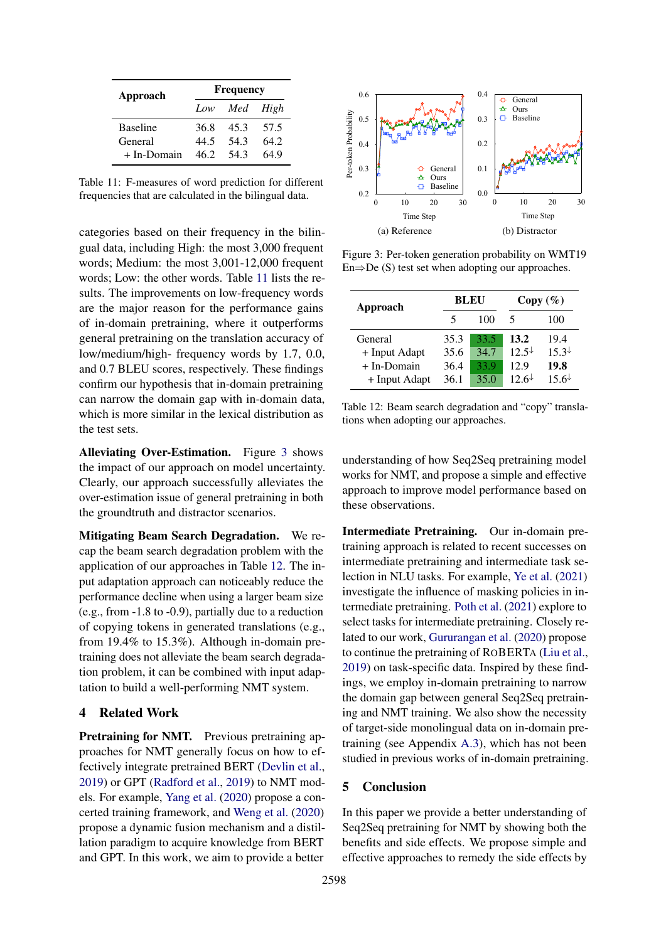<span id="page-7-0"></span>

| Approach        | <b>Frequency</b> |              |      |  |  |  |
|-----------------|------------------|--------------|------|--|--|--|
|                 |                  | Low Med High |      |  |  |  |
| <b>Baseline</b> | 36.8             | 453          | 57.5 |  |  |  |
| General         | 44.5             | 543          | 642  |  |  |  |
| + In-Domain     | 46.2             | 543          | 64 9 |  |  |  |

Table 11: F-measures of word prediction for different frequencies that are calculated in the bilingual data.  $\mathbf{1}$ ter frequencies that are calculated in the bilingual data.  $\mathbf{1}$  $te$ 11 111 *2111* 2111 21111

categories based on their frequency in the bilingual data, including High: the most 3,000 frequent words; Medium: the most 3,001-12,000 frequent words; Low: the other words. Table [11](#page-7-0) lists the results. The improvements on low-frequency words are the major reason for the performance gains of in-domain pretraining, where it outperforms general pretraining on the translation accuracy of low/medium/high- frequency words by 1.7, 0.0, and 0.7 BLEU scores, respectively. These findings confirm our hypothesis that in-domain pretraining can narrow the domain gap with in-domain data, which is more similar in the lexical distribution as the test sets.

Alleviating Over-Estimation. Figure [3](#page-7-1) shows the impact of our approach on model uncertainty. Clearly, our approach successfully alleviates the over-estimation issue of general pretraining in both the groundtruth and distractor scenarios.

Mitigating Beam Search Degradation. We recap the beam search degradation problem with the application of our approaches in Table [12.](#page-7-2) The input adaptation approach can noticeably reduce the performance decline when using a larger beam size (e.g., from -1.8 to -0.9), partially due to a reduction of copying tokens in generated translations (e.g., from 19.4% to 15.3%). Although in-domain pretraining does not alleviate the beam search degradation problem, it can be combined with input adaptation to build a well-performing NMT system.

## 4 Related Work

Pretraining for NMT. Previous pretraining approaches for NMT generally focus on how to effectively integrate pretrained BERT [\(Devlin et al.,](#page-8-0) [2019\)](#page-8-0) or GPT [\(Radford et al.,](#page-8-20) [2019\)](#page-8-20) to NMT models. For example, [Yang et al.](#page-9-8) [\(2020\)](#page-9-8) propose a concerted training framework, and [Weng et al.](#page-9-2) [\(2020\)](#page-9-2) propose a dynamic fusion mechanism and a distillation paradigm to acquire knowledge from BERT and GPT. In this work, we aim to provide a better

<span id="page-7-1"></span>

Figure 3: Per-token generation probability on WMT19  $En \Rightarrow De(S)$  test set when adopting our approaches.

<span id="page-7-2"></span>

| Approach      |      | BLEU | Copy (%)            |                     |  |
|---------------|------|------|---------------------|---------------------|--|
|               | 5    | 100  | 5                   | 100                 |  |
| General       | 35.3 | 33.5 | 13.2                | 19.4                |  |
| + Input Adapt | 35.6 | 34.7 | $12.5^{\downarrow}$ | $15.3^{\downarrow}$ |  |
| $+$ In-Domain | 36.4 | 33.9 | 12.9                | 19.8                |  |
| + Input Adapt | 36.1 | 35.0 | $12.6\pm$           | $15.6+$             |  |

Table 12: Beam search degradation and "copy" translations when adopting our approaches.

understanding of how Seq2Seq pretraining model works for NMT, and propose a simple and effective approach to improve model performance based on these observations.

Intermediate Pretraining. Our in-domain pretraining approach is related to recent successes on intermediate pretraining and intermediate task selection in NLU tasks. For example, [Ye et al.](#page-9-9) [\(2021\)](#page-9-9) investigate the influence of masking policies in intermediate pretraining. [Poth et al.](#page-8-21) [\(2021\)](#page-8-21) explore to select tasks for intermediate pretraining. Closely related to our work, [Gururangan et al.](#page-8-22) [\(2020\)](#page-8-22) propose to continue the pretraining of ROBERTA [\(Liu et al.,](#page-8-1) [2019\)](#page-8-1) on task-specific data. Inspired by these findings, we employ in-domain pretraining to narrow the domain gap between general Seq2Seq pretraining and NMT training. We also show the necessity of target-side monolingual data on in-domain pretraining (see Appendix [A.3\)](#page-0-3), which has not been studied in previous works of in-domain pretraining.

# 5 Conclusion

In this paper we provide a better understanding of Seq2Seq pretraining for NMT by showing both the benefits and side effects. We propose simple and effective approaches to remedy the side effects by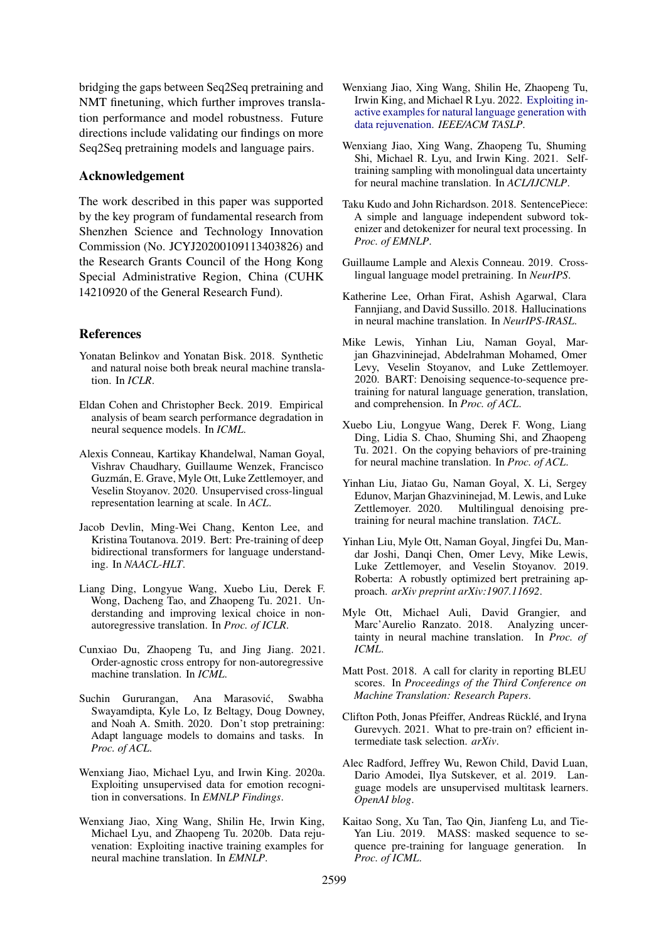bridging the gaps between Seq2Seq pretraining and NMT finetuning, which further improves translation performance and model robustness. Future directions include validating our findings on more Seq2Seq pretraining models and language pairs.

# Acknowledgement

The work described in this paper was supported by the key program of fundamental research from Shenzhen Science and Technology Innovation Commission (No. JCYJ20200109113403826) and the Research Grants Council of the Hong Kong Special Administrative Region, China (CUHK 14210920 of the General Research Fund).

#### References

- <span id="page-8-17"></span>Yonatan Belinkov and Yonatan Bisk. 2018. Synthetic and natural noise both break neural machine translation. In *ICLR*.
- <span id="page-8-18"></span>Eldan Cohen and Christopher Beck. 2019. Empirical analysis of beam search performance degradation in neural sequence models. In *ICML*.
- <span id="page-8-2"></span>Alexis Conneau, Kartikay Khandelwal, Naman Goyal, Vishrav Chaudhary, Guillaume Wenzek, Francisco Guzmán, E. Grave, Myle Ott, Luke Zettlemoyer, and Veselin Stoyanov. 2020. Unsupervised cross-lingual representation learning at scale. In *ACL*.
- <span id="page-8-0"></span>Jacob Devlin, Ming-Wei Chang, Kenton Lee, and Kristina Toutanova. 2019. Bert: Pre-training of deep bidirectional transformers for language understanding. In *NAACL-HLT*.
- <span id="page-8-13"></span>Liang Ding, Longyue Wang, Xuebo Liu, Derek F. Wong, Dacheng Tao, and Zhaopeng Tu. 2021. Understanding and improving lexical choice in nonautoregressive translation. In *Proc. of ICLR*.
- <span id="page-8-11"></span>Cunxiao Du, Zhaopeng Tu, and Jing Jiang. 2021. Order-agnostic cross entropy for non-autoregressive machine translation. In *ICML*.
- <span id="page-8-22"></span>Suchin Gururangan, Ana Marasović, Swabha Swayamdipta, Kyle Lo, Iz Beltagy, Doug Downey, and Noah A. Smith. 2020. Don't stop pretraining: Adapt language models to domains and tasks. In *Proc. of ACL*.
- <span id="page-8-3"></span>Wenxiang Jiao, Michael Lyu, and Irwin King. 2020a. Exploiting unsupervised data for emotion recognition in conversations. In *EMNLP Findings*.
- <span id="page-8-14"></span>Wenxiang Jiao, Xing Wang, Shilin He, Irwin King, Michael Lyu, and Zhaopeng Tu. 2020b. Data rejuvenation: Exploiting inactive training examples for neural machine translation. In *EMNLP*.
- <span id="page-8-15"></span>Wenxiang Jiao, Xing Wang, Shilin He, Zhaopeng Tu, Irwin King, and Michael R Lyu. 2022. [Exploiting in](https://doi.org/10.1109/TASLP.2022.3153269)[active examples for natural language generation with](https://doi.org/10.1109/TASLP.2022.3153269) [data rejuvenation.](https://doi.org/10.1109/TASLP.2022.3153269) *IEEE/ACM TASLP*.
- <span id="page-8-19"></span>Wenxiang Jiao, Xing Wang, Zhaopeng Tu, Shuming Shi, Michael R. Lyu, and Irwin King. 2021. Selftraining sampling with monolingual data uncertainty for neural machine translation. In *ACL/IJCNLP*.
- <span id="page-8-9"></span>Taku Kudo and John Richardson. 2018. SentencePiece: A simple and language independent subword tokenizer and detokenizer for neural text processing. In *Proc. of EMNLP*.
- <span id="page-8-7"></span>Guillaume Lample and Alexis Conneau. 2019. Crosslingual language model pretraining. In *NeurIPS*.
- <span id="page-8-16"></span>Katherine Lee, Orhan Firat, Ashish Agarwal, Clara Fannjiang, and David Sussillo. 2018. Hallucinations in neural machine translation. In *NeurIPS-IRASL*.
- <span id="page-8-5"></span>Mike Lewis, Yinhan Liu, Naman Goyal, Marjan Ghazvininejad, Abdelrahman Mohamed, Omer Levy, Veselin Stoyanov, and Luke Zettlemoyer. 2020. BART: Denoising sequence-to-sequence pretraining for natural language generation, translation, and comprehension. In *Proc. of ACL*.
- <span id="page-8-8"></span>Xuebo Liu, Longyue Wang, Derek F. Wong, Liang Ding, Lidia S. Chao, Shuming Shi, and Zhaopeng Tu. 2021. On the copying behaviors of pre-training for neural machine translation. In *Proc. of ACL*.
- <span id="page-8-6"></span>Yinhan Liu, Jiatao Gu, Naman Goyal, X. Li, Sergey Edunov, Marjan Ghazvininejad, M. Lewis, and Luke Zettlemoyer. 2020. Multilingual denoising pretraining for neural machine translation. *TACL*.
- <span id="page-8-1"></span>Yinhan Liu, Myle Ott, Naman Goyal, Jingfei Du, Mandar Joshi, Danqi Chen, Omer Levy, Mike Lewis, Luke Zettlemoyer, and Veselin Stoyanov. 2019. Roberta: A robustly optimized bert pretraining approach. *arXiv preprint arXiv:1907.11692*.
- <span id="page-8-12"></span>Myle Ott, Michael Auli, David Grangier, and Marc'Aurelio Ranzato. 2018. Analyzing uncertainty in neural machine translation. In *Proc. of ICML*.
- <span id="page-8-10"></span>Matt Post. 2018. A call for clarity in reporting BLEU scores. In *Proceedings of the Third Conference on Machine Translation: Research Papers*.
- <span id="page-8-21"></span>Clifton Poth, Jonas Pfeiffer, Andreas Rücklé, and Iryna Gurevych. 2021. What to pre-train on? efficient intermediate task selection. *arXiv*.
- <span id="page-8-20"></span>Alec Radford, Jeffrey Wu, Rewon Child, David Luan, Dario Amodei, Ilya Sutskever, et al. 2019. Language models are unsupervised multitask learners. *OpenAI blog*.
- <span id="page-8-4"></span>Kaitao Song, Xu Tan, Tao Qin, Jianfeng Lu, and Tie-Yan Liu. 2019. MASS: masked sequence to sequence pre-training for language generation. In *Proc. of ICML*.